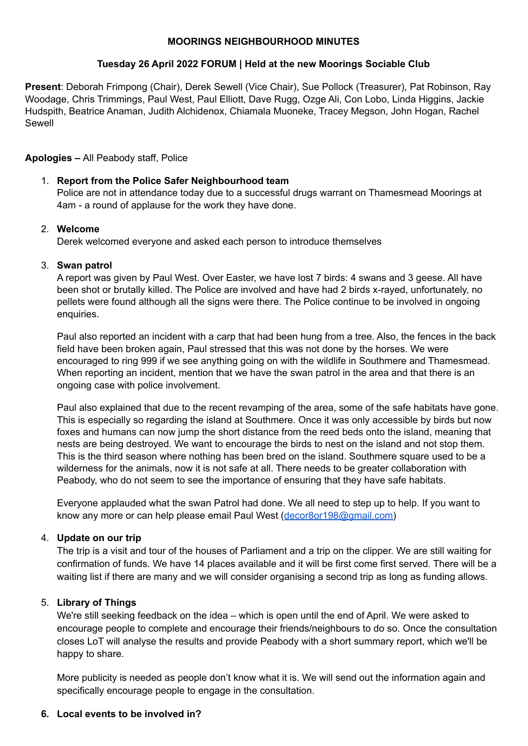## **MOORINGS NEIGHBOURHOOD MINUTES**

## **Tuesday 26 April 2022 FORUM | Held at the new Moorings Sociable Club**

**Present**: Deborah Frimpong (Chair), Derek Sewell (Vice Chair), Sue Pollock (Treasurer), Pat Robinson, Ray Woodage, Chris Trimmings, Paul West, Paul Elliott, Dave Rugg, Ozge Ali, Con Lobo, Linda Higgins, Jackie Hudspith, Beatrice Anaman, Judith Alchidenox, Chiamala Muoneke, Tracey Megson, John Hogan, Rachel Sewell

### **Apologies –** All Peabody staff, Police

#### 1. **Report from the Police Safer Neighbourhood team**

Police are not in attendance today due to a successful drugs warrant on Thamesmead Moorings at 4am - a round of applause for the work they have done.

### 2. **Welcome**

Derek welcomed everyone and asked each person to introduce themselves

#### 3. **Swan patrol**

A report was given by Paul West. Over Easter, we have lost 7 birds: 4 swans and 3 geese. All have been shot or brutally killed. The Police are involved and have had 2 birds x-rayed, unfortunately, no pellets were found although all the signs were there. The Police continue to be involved in ongoing enquiries.

Paul also reported an incident with a carp that had been hung from a tree. Also, the fences in the back field have been broken again, Paul stressed that this was not done by the horses. We were encouraged to ring 999 if we see anything going on with the wildlife in Southmere and Thamesmead. When reporting an incident, mention that we have the swan patrol in the area and that there is an ongoing case with police involvement.

Paul also explained that due to the recent revamping of the area, some of the safe habitats have gone. This is especially so regarding the island at Southmere. Once it was only accessible by birds but now foxes and humans can now jump the short distance from the reed beds onto the island, meaning that nests are being destroyed. We want to encourage the birds to nest on the island and not stop them. This is the third season where nothing has been bred on the island. Southmere square used to be a wilderness for the animals, now it is not safe at all. There needs to be greater collaboration with Peabody, who do not seem to see the importance of ensuring that they have safe habitats.

Everyone applauded what the swan Patrol had done. We all need to step up to help. If you want to know any more or can help please email Paul West ([decor8or198@gmail.com\)](mailto:decor8or198@gmail.com)

### 4. **Update on our trip**

The trip is a visit and tour of the houses of Parliament and a trip on the clipper. We are still waiting for confirmation of funds. We have 14 places available and it will be first come first served. There will be a waiting list if there are many and we will consider organising a second trip as long as funding allows.

### 5. **Library of Things**

We're still seeking feedback on the idea – which is open until the end of April. We were asked to encourage people to complete and encourage their friends/neighbours to do so. Once the consultation closes LoT will analyse the results and provide Peabody with a short summary report, which we'll be happy to share.

More publicity is needed as people don't know what it is. We will send out the information again and specifically encourage people to engage in the consultation.

### **6. Local events to be involved in?**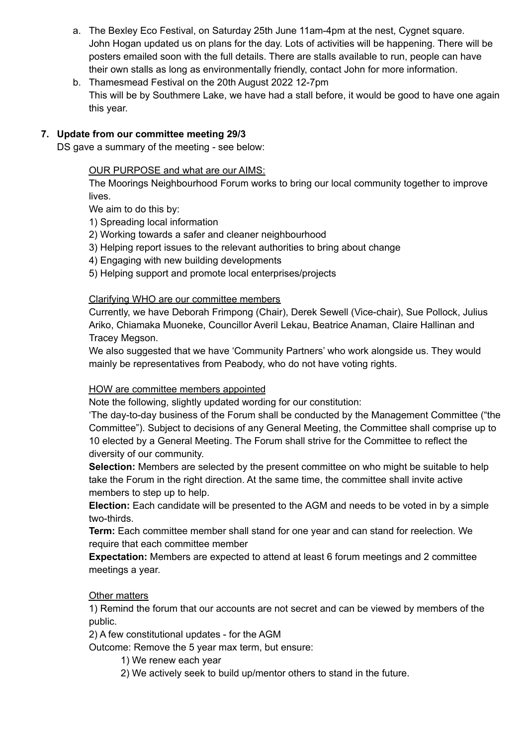- a. The Bexley Eco Festival, on Saturday 25th June 11am-4pm at the nest, Cygnet square. John Hogan updated us on plans for the day. Lots of activities will be happening. There will be posters emailed soon with the full details. There are stalls available to run, people can have their own stalls as long as environmentally friendly, contact John for more information.
- b. Thamesmead Festival on the 20th August 2022 12-7pm This will be by Southmere Lake, we have had a stall before, it would be good to have one again this year.

# **7. Update from our committee meeting 29/3**

DS gave a summary of the meeting - see below:

## OUR PURPOSE and what are our AIMS:

The Moorings Neighbourhood Forum works to bring our local community together to improve lives.

We aim to do this by:

1) Spreading local information

- 2) Working towards a safer and cleaner neighbourhood
- 3) Helping report issues to the relevant authorities to bring about change
- 4) Engaging with new building developments
- 5) Helping support and promote local enterprises/projects

## Clarifying WHO are our committee members

Currently, we have Deborah Frimpong (Chair), Derek Sewell (Vice-chair), Sue Pollock, Julius Ariko, Chiamaka Muoneke, Councillor Averil Lekau, Beatrice Anaman, Claire Hallinan and Tracey Megson.

We also suggested that we have 'Community Partners' who work alongside us. They would mainly be representatives from Peabody, who do not have voting rights.

## HOW are committee members appointed

Note the following, slightly updated wording for our constitution:

'The day-to-day business of the Forum shall be conducted by the Management Committee ("the Committee"). Subject to decisions of any General Meeting, the Committee shall comprise up to 10 elected by a General Meeting. The Forum shall strive for the Committee to reflect the diversity of our community.

**Selection:** Members are selected by the present committee on who might be suitable to help take the Forum in the right direction. At the same time, the committee shall invite active members to step up to help.

**Election:** Each candidate will be presented to the AGM and needs to be voted in by a simple two-thirds.

**Term:** Each committee member shall stand for one year and can stand for reelection. We require that each committee member

**Expectation:** Members are expected to attend at least 6 forum meetings and 2 committee meetings a year.

## **Other matters**

1) Remind the forum that our accounts are not secret and can be viewed by members of the public.

2) A few constitutional updates - for the AGM

Outcome: Remove the 5 year max term, but ensure:

1) We renew each year

2) We actively seek to build up/mentor others to stand in the future.